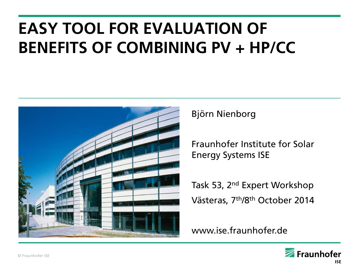# **EASY TOOL FOR EVALUATION OF BENEFITS OF COMBINING PV + HP/CC**



Björn Nienborg

Fraunhofer Institute for Solar Energy Systems ISE

Task 53, 2<sup>nd</sup> Expert Workshop Västeras, 7th/8th October 2014

www.ise.fraunhofer.de

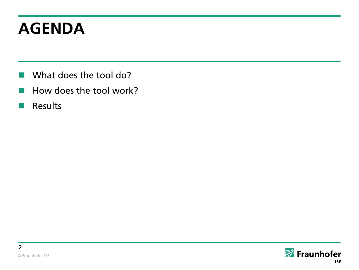# **AGENDA**

- **No. 3** What does the tool do?
- How does the tool work?
- **Results**

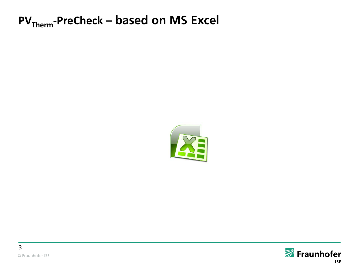# **PV<sub>Therm</sub>-PreCheck – based on MS Excel**



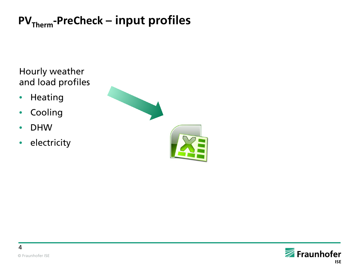**PV<sub>Therm</sub>-PreCheck – input profiles** 

Hourly weather and load profiles

- Heating
- Cooling
- DHW
- electricity

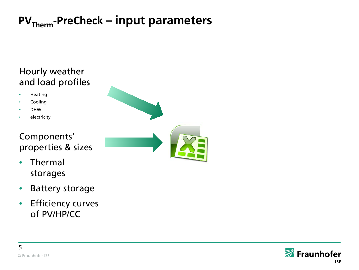# **PV<sub>Therm</sub>-PreCheck – input parameters**

#### Hourly weather and load profiles

- Heating
- **Cooling**
- DHW
- **electricity**

#### Components' properties & sizes

- Thermal storages
- Battery storage
- Efficiency curves of PV/HP/CC



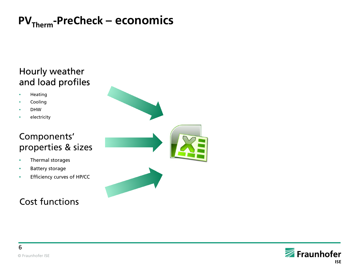**PV<sub>Therm</sub>-PreCheck – economics** 

#### Hourly weather and load profiles

- Heating
- **Cooling**
- DHW
- electricity

#### Components' properties & sizes

- Thermal storages
- Battery storage
- Efficiency curves of HP/CC

#### Cost functions



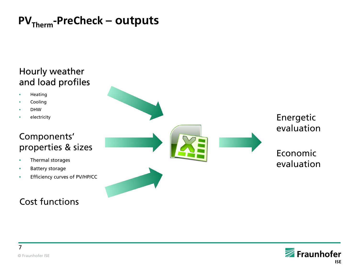**PV<sub>Therm</sub>-PreCheck – outputs** 

#### Hourly weather and load profiles

- Heating
- **Cooling**
- DHW
- electricity

#### Components' properties & sizes

- Thermal storages
- Battery storage
- Efficiency curves of PV/HP/CC

#### Cost functions



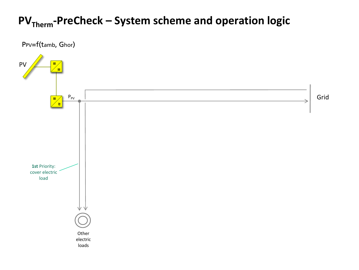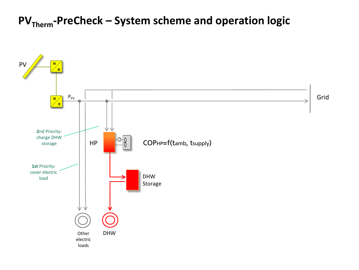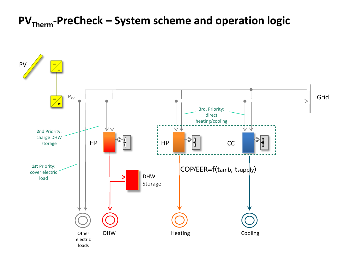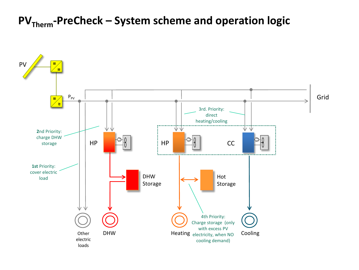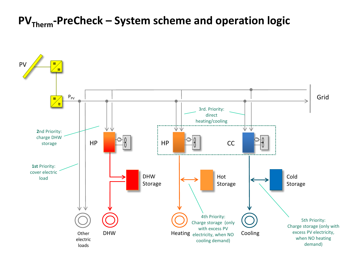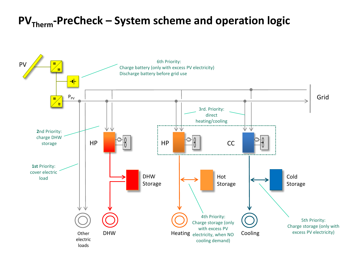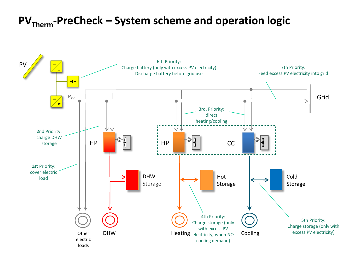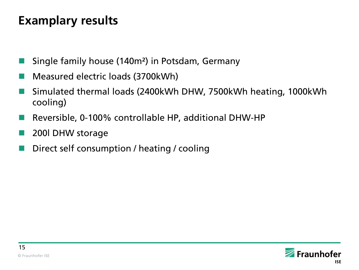## **Examplary results**

- Single family house (140m²) in Potsdam, Germany
- Measured electric loads (3700kWh)
- Simulated thermal loads (2400kWh DHW, 7500kWh heating, 1000kWh cooling)
- Reversible, 0-100% controllable HP, additional DHW-HP
- 200l DHW storage
- Direct self consumption / heating / cooling

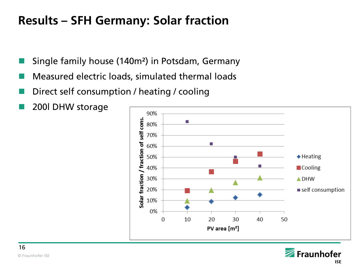## **Results – SFH Germany: Solar fraction**

- Single family house (140m²) in Potsdam, Germany
- Measured electric loads, simulated thermal loads
- Direct self consumption / heating / cooling
- 200l DHW storage



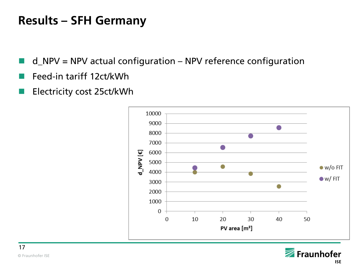### **Results – SFH Germany**

- d\_NPV = NPV actual configuration NPV reference configuration
- Feed-in tariff 12ct/kWh
- Electricity cost 25ct/kWh



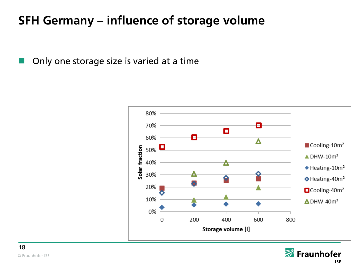Only one storage size is varied at a time



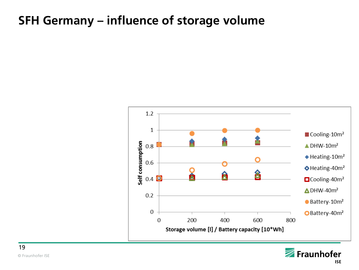

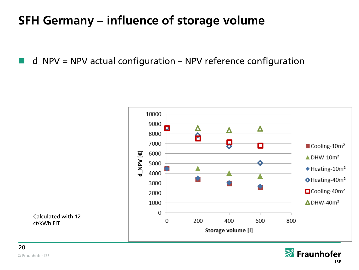$\blacksquare$  d\_NPV = NPV actual configuration – NPV reference configuration



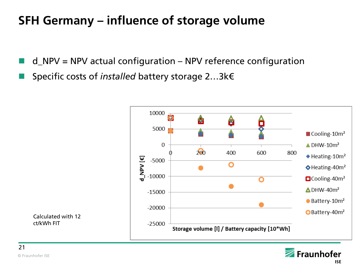- d\_NPV = NPV actual configuration NPV reference configuration
- Specific costs of *installed* battery storage 2…3k€





ct/kWh FIT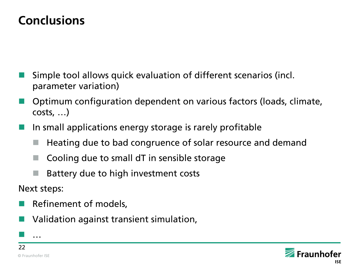### **Conclusions**

- Simple tool allows quick evaluation of different scenarios (incl. parameter variation)
- Optimum configuration dependent on various factors (loads, climate, costs, …)
- In small applications energy storage is rarely profitable
	- Heating due to bad congruence of solar resource and demand
	- Cooling due to small dT in sensible storage
	- Battery due to high investment costs

Next steps:

- Refinement of models,
- Validation against transient simulation,



…